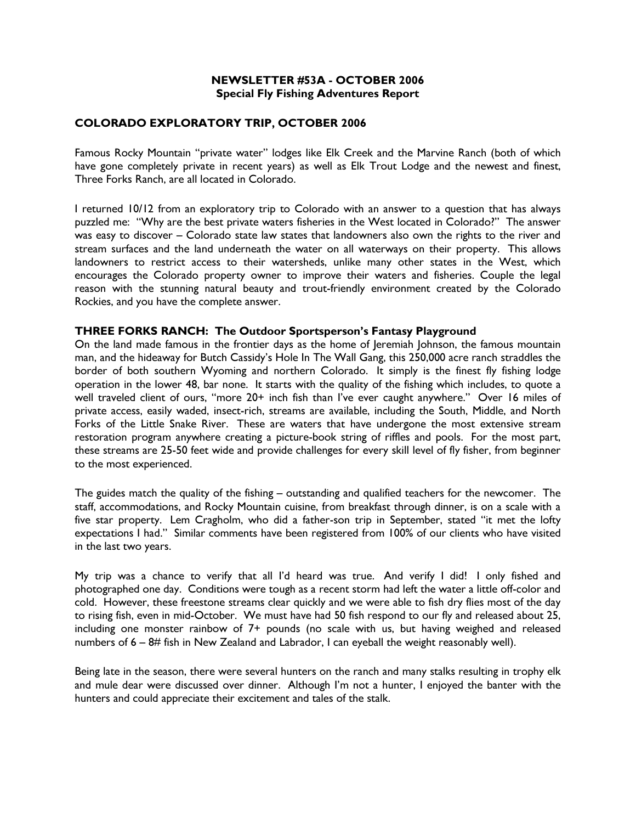## NEWSLETTER #53A - OCTOBER 2006 Special Fly Fishing Adventures Report

## COLORADO EXPLORATORY TRIP, OCTOBER 2006

Famous Rocky Mountain "private water" lodges like Elk Creek and the Marvine Ranch (both of which have gone completely private in recent years) as well as Elk Trout Lodge and the newest and finest, Three Forks Ranch, are all located in Colorado.

I returned 10/12 from an exploratory trip to Colorado with an answer to a question that has always puzzled me: "Why are the best private waters fisheries in the West located in Colorado?" The answer was easy to discover – Colorado state law states that landowners also own the rights to the river and stream surfaces and the land underneath the water on all waterways on their property. This allows landowners to restrict access to their watersheds, unlike many other states in the West, which encourages the Colorado property owner to improve their waters and fisheries. Couple the legal reason with the stunning natural beauty and trout-friendly environment created by the Colorado Rockies, and you have the complete answer.

## THREE FORKS RANCH: The Outdoor Sportsperson's Fantasy Playground

On the land made famous in the frontier days as the home of Jeremiah Johnson, the famous mountain man, and the hideaway for Butch Cassidy's Hole In The Wall Gang, this 250,000 acre ranch straddles the border of both southern Wyoming and northern Colorado. It simply is the finest fly fishing lodge operation in the lower 48, bar none. It starts with the quality of the fishing which includes, to quote a well traveled client of ours, "more 20+ inch fish than I've ever caught anywhere." Over 16 miles of private access, easily waded, insect-rich, streams are available, including the South, Middle, and North Forks of the Little Snake River. These are waters that have undergone the most extensive stream restoration program anywhere creating a picture-book string of riffles and pools. For the most part, these streams are 25-50 feet wide and provide challenges for every skill level of fly fisher, from beginner to the most experienced.

The guides match the quality of the fishing – outstanding and qualified teachers for the newcomer. The staff, accommodations, and Rocky Mountain cuisine, from breakfast through dinner, is on a scale with a five star property. Lem Cragholm, who did a father-son trip in September, stated "it met the lofty expectations I had." Similar comments have been registered from 100% of our clients who have visited in the last two years.

My trip was a chance to verify that all I'd heard was true. And verify I did! I only fished and photographed one day. Conditions were tough as a recent storm had left the water a little off-color and cold. However, these freestone streams clear quickly and we were able to fish dry flies most of the day to rising fish, even in mid-October. We must have had 50 fish respond to our fly and released about 25, including one monster rainbow of 7+ pounds (no scale with us, but having weighed and released numbers of 6 – 8# fish in New Zealand and Labrador, I can eyeball the weight reasonably well).

Being late in the season, there were several hunters on the ranch and many stalks resulting in trophy elk and mule dear were discussed over dinner. Although I'm not a hunter, I enjoyed the banter with the hunters and could appreciate their excitement and tales of the stalk.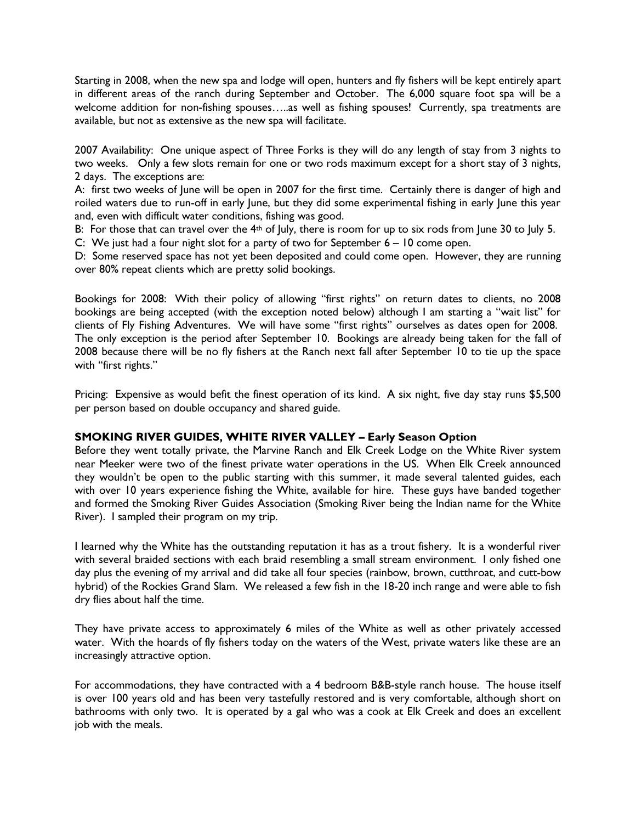Starting in 2008, when the new spa and lodge will open, hunters and fly fishers will be kept entirely apart in different areas of the ranch during September and October. The 6,000 square foot spa will be a welcome addition for non-fishing spouses…..as well as fishing spouses! Currently, spa treatments are available, but not as extensive as the new spa will facilitate.

2007 Availability: One unique aspect of Three Forks is they will do any length of stay from 3 nights to two weeks. Only a few slots remain for one or two rods maximum except for a short stay of 3 nights, 2 days. The exceptions are:

A: first two weeks of June will be open in 2007 for the first time. Certainly there is danger of high and roiled waters due to run-off in early June, but they did some experimental fishing in early June this year and, even with difficult water conditions, fishing was good.

B: For those that can travel over the 4<sup>th</sup> of July, there is room for up to six rods from June 30 to July 5.

C: We just had a four night slot for a party of two for September 6 – 10 come open.

D: Some reserved space has not yet been deposited and could come open. However, they are running over 80% repeat clients which are pretty solid bookings.

Bookings for 2008: With their policy of allowing "first rights" on return dates to clients, no 2008 bookings are being accepted (with the exception noted below) although I am starting a "wait list" for clients of Fly Fishing Adventures. We will have some "first rights" ourselves as dates open for 2008. The only exception is the period after September 10. Bookings are already being taken for the fall of 2008 because there will be no fly fishers at the Ranch next fall after September 10 to tie up the space with "first rights."

Pricing: Expensive as would befit the finest operation of its kind. A six night, five day stay runs \$5,500 per person based on double occupancy and shared guide. i,

## SMOKING RIVER GUIDES, WHITE RIVER VALLEY – Early Season Option

Before they went totally private, the Marvine Ranch and Elk Creek Lodge on the White River system near Meeker were two of the finest private water operations in the US. When Elk Creek announced they wouldn't be open to the public starting with this summer, it made several talented guides, each with over 10 years experience fishing the White, available for hire. These guys have banded together and formed the Smoking River Guides Association (Smoking River being the Indian name for the White River). I sampled their program on my trip.

I learned why the White has the outstanding reputation it has as a trout fishery. It is a wonderful river with several braided sections with each braid resembling a small stream environment. I only fished one day plus the evening of my arrival and did take all four species (rainbow, brown, cutthroat, and cutt-bow hybrid) of the Rockies Grand Slam. We released a few fish in the 18-20 inch range and were able to fish dry flies about half the time.

They have private access to approximately 6 miles of the White as well as other privately accessed water. With the hoards of fly fishers today on the waters of the West, private waters like these are an increasingly attractive option.

For accommodations, they have contracted with a 4 bedroom B&B-style ranch house. The house itself is over 100 years old and has been very tastefully restored and is very comfortable, although short on bathrooms with only two. It is operated by a gal who was a cook at Elk Creek and does an excellent job with the meals.